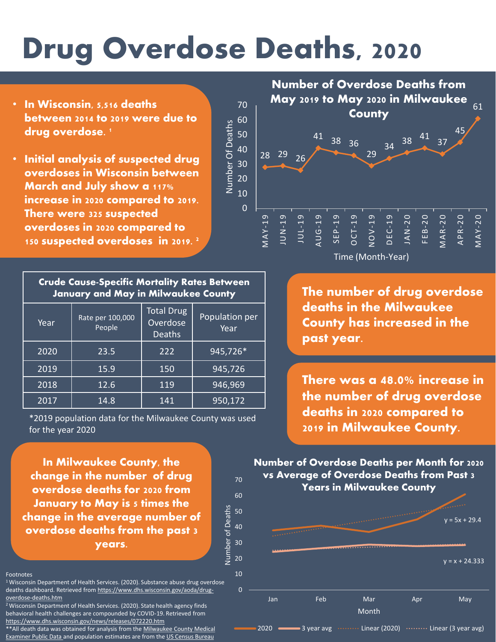# Drug Overdose Deaths, 2020

Number Of Deaths

Number Of Deaths

- In Wisconsin, 5,516 deaths between 2014 to 2019 were due to drug overdose.<sup>1</sup>
- Initial analysis of suspected drug overdoses in Wisconsin between March and July show a 117% increase in 2020 compared to 2019. There were 325 suspected overdoses in 2020 compared to 150 suspected overdoses in 2019. <sup>2</sup>

| <b>Crude Cause-Specific Mortality Rates Between</b><br><b>January and May in Milwaukee County</b> |                            |                                                |                        |  |  |
|---------------------------------------------------------------------------------------------------|----------------------------|------------------------------------------------|------------------------|--|--|
| Year                                                                                              | Rate per 100,000<br>People | <b>Total Drug</b><br>Overdose<br><b>Deaths</b> | Population per<br>Year |  |  |
| 2020                                                                                              | 23.5                       | 222                                            | 945,726*               |  |  |
| 2019                                                                                              | 15.9                       | 150                                            | 945,726                |  |  |
| 2018                                                                                              | 12.6                       | 119                                            | 946,969                |  |  |
| 2017                                                                                              | 14.8                       | 141                                            | 950, 172               |  |  |

\*2019 population data for the Milwaukee County was used for the year 2020

In Milwaukee County, the change in the number of drug overdose deaths for 2020 from January to May is s times the change in the average number of overdose deaths from the past 3 years.

0

10

#### Footnotes

<sup>1</sup> Wisconsin Department of Health Services. (2020). Substance abuse drug overdose [deaths dashboard. Retrieved from https://www.dhs.wisconsin.gov/aoda/drug](https://www.dhs.wisconsin.gov/aoda/drug-overdose-deaths.htm)overdose-deaths.htm

<sup>2</sup> Wisconsin Department of Health Services. (2020). State health agency finds behavioral health challenges are compounded by COVID-19. Retrieved from <https://www.dhs.wisconsin.gov/news/releases/072220.htm>

\*\*All death data was obtained for analysis from the Milwaukee County Medical [Examiner Public Data and population estimates are from the US Census Bureau](https://county.milwaukee.gov/EN/Medical-Examiner/Public-Data)



Time (Month-Year)

The number of drug overdose deaths in the Milwaukee County has increased in the past year.

There was a **48.0%** increase in the number of drug overdose deaths in 2020 compared to 2019 in Milwaukee County.

 $y = 5x + 29.4$  $y = x + 24.333$ Jan Feb Mar Apr May Month Number of Overdose Deaths per Month for 2020 vs Average of Overdose Deaths from Past 3 Years in Milwaukee County

2020  $\longrightarrow$  3 year avg  $\cdots$  Linear (2020)  $\cdots$  Linear (3 year avg)